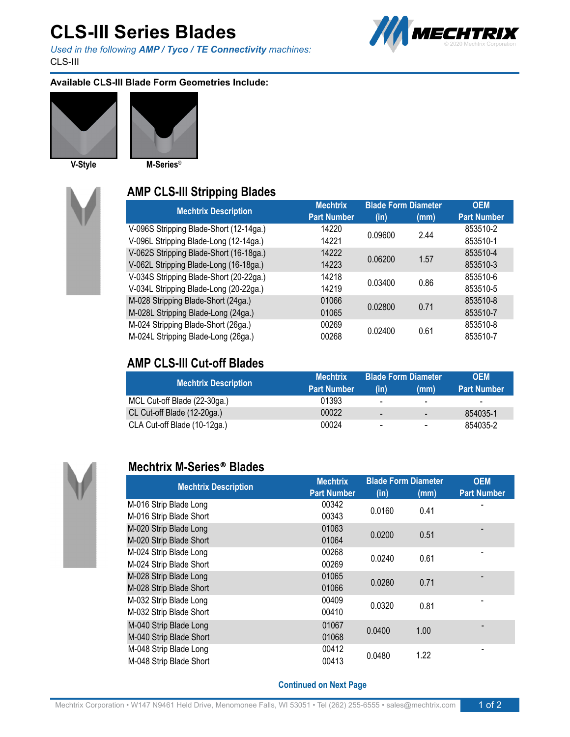# **CLS-III Series Blades**

*Used in the following AMP / Tyco / TE Connectivity machines:* CLS-III



#### **Available CLS-III Blade Form Geometries Include:**







### **AMP CLS-III Stripping Blades**

| <b>Mechtrix</b>    | <b>Blade Form Diameter</b> |         | <b>OEM</b>         |
|--------------------|----------------------------|---------|--------------------|
| <b>Part Number</b> | (in)                       | (mm)    | <b>Part Number</b> |
| 14220              |                            |         | 853510-2           |
| 14221              |                            |         | 853510-1           |
| 14222              | 0.06200                    | 1.57    | 853510-4           |
| 14223              |                            |         | 853510-3           |
| 14218              | 0.03400                    | 0.86    | 853510-6           |
| 14219              |                            |         | 853510-5           |
| 01066              | 0.02800                    | 0.71    | 853510-8           |
| 01065              |                            |         | 853510-7           |
| 00269              | 0.02400                    | 0.61    | 853510-8           |
| 00268              |                            |         | 853510-7           |
|                    |                            | 0.09600 | 2.44               |

### **AMP CLS-III Cut-off Blades**

| <b>Mechtrix Description</b>  | <b>Mechtrix</b>    | <b>Blade Form Diameter</b> |                | <b>OEM</b>               |
|------------------------------|--------------------|----------------------------|----------------|--------------------------|
|                              | <b>Part Number</b> | (in)                       | (mm)           | <b>Part Number</b>       |
| MCL Cut-off Blade (22-30ga.) | 01393              | ۰.                         | $\sim$         | $\overline{\phantom{a}}$ |
| CL Cut-off Blade (12-20ga.)  | 00022              | -                          | $\sim$         | 854035-1                 |
| CLA Cut-off Blade (10-12ga.) | 00024              | -                          | $\blacksquare$ | 854035-2                 |



#### **Mechtrix M-Series® Blades**

| <b>Mechtrix Description</b> | <b>Mechtrix</b>    | <b>Blade Form Diameter</b> |      | <b>OEM</b>         |
|-----------------------------|--------------------|----------------------------|------|--------------------|
|                             | <b>Part Number</b> | (in)                       | (mm) | <b>Part Number</b> |
| M-016 Strip Blade Long      | 00342              | 0.0160                     | 0.41 |                    |
| M-016 Strip Blade Short     | 00343              |                            |      |                    |
| M-020 Strip Blade Long      | 01063              | 0.0200                     | 0.51 |                    |
| M-020 Strip Blade Short     | 01064              |                            |      |                    |
| M-024 Strip Blade Long      | 00268              | 0.0240                     | 0.61 |                    |
| M-024 Strip Blade Short     | 00269              |                            |      |                    |
| M-028 Strip Blade Long      | 01065              | 0.0280                     | 0.71 |                    |
| M-028 Strip Blade Short     | 01066              |                            |      |                    |
| M-032 Strip Blade Long      | 00409              | 0.0320                     | 0.81 |                    |
| M-032 Strip Blade Short     | 00410              |                            |      |                    |
| M-040 Strip Blade Long      | 01067              | 0.0400                     | 1.00 |                    |
| M-040 Strip Blade Short     | 01068              |                            |      |                    |
| M-048 Strip Blade Long      | 00412              |                            | 1.22 |                    |
| M-048 Strip Blade Short     | 00413              | 0.0480                     |      |                    |
|                             |                    |                            |      |                    |

**Continued on Next Page**